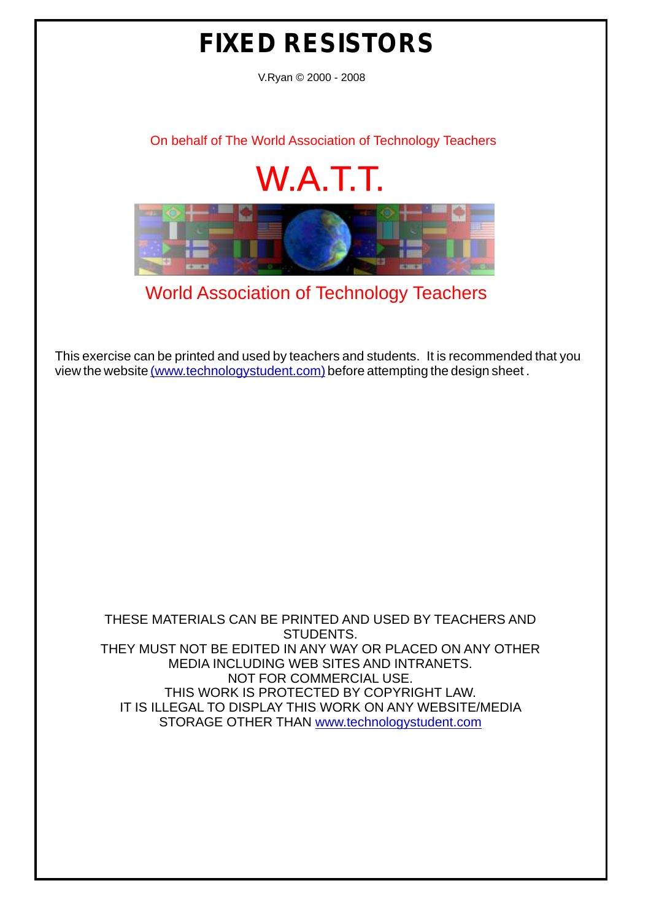